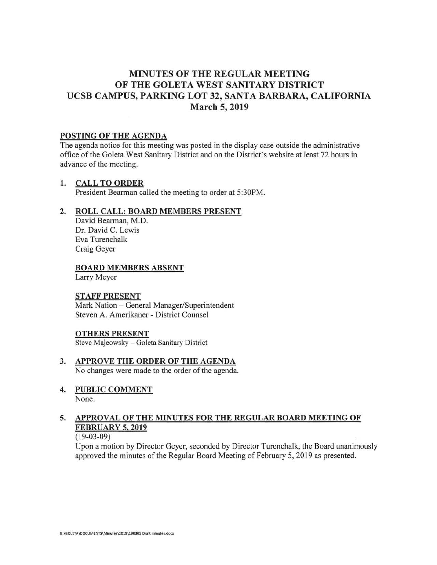# **MINUTES OF THE REGULAR MEETING OF THE GOLETA WEST SANITARY DISTRICT UCSB CAMPUS, PARKING LOT 32, SANTA BARBARA, CALIFORNIA March 5, 2019**

### **POSTING OF THE AGENDA**

The agenda notice for this meeting was posted in the display case outside the administrative office of the Goleta West Sanitary District and on the District's website at least 72 hours in advance of the meeting.

## **1. CALL TO ORDER**

President Bearman called the meeting to order at 5:30PM.

## **2. ROLL CALL: BOARD MEMBERS PRESENT**

David Bearman, M.D. Dr. David C. Lewis Eva Turenchalk Craig Geyer

## **BOARD MEMBERS ABSENT**

Larry Meyer

### **STAFF PRESENT**

Mark Nation - General Manager/Superintendent Steven A. Amerikaner - District Counsel

### **OTHERS PRESENT**

Steve Majeowsky- Goleta Sanitary District

- **3. APPROVE THE ORDER OF THE AGENDA**  No changes were made to the order of the agenda.
- **4. PUBLIC COMMENT**  None.

# **5. APPROVAL OF THE MINUTES FOR THE REGULAR BOARD MEETING OF FEBRUARY 5, 2019**

## (19-03-09)

Upon a motion by Director Geyer, seconded by Director Turenchalk, the Board unanimously approved the minutes of the Regular Board Meeting of February 5, 2019 as presented.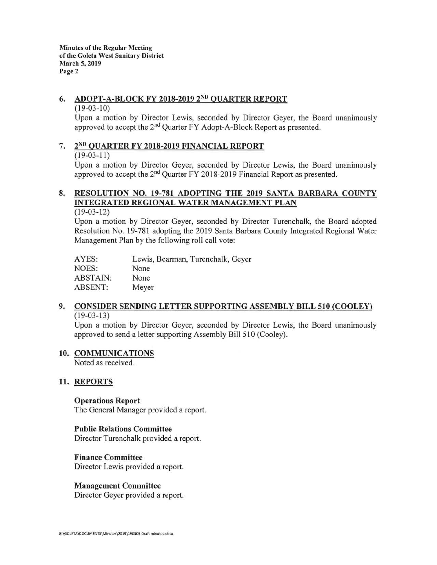## **6. ADOPT-A-BLOCK FY 2018-2019 2ND QUARTER REPORT**

#### $(19-03-10)$

Upon a motion by Director Lewis, seconded by Director Geyer, the Board unanimously approved to accept the 2nd Quarter FY Adopt-A-Block Report as presented.

# 7. **2No QUARTER FY 2018-2019 FINANCIAL REPORT**

#### $(19-03-11)$

Upon a motion by Director Geyer, seconded by Director Lewis, the Board unanimously approved to accept the 2nd Quarter FY 2018-2019 Financial Report as presented.

# **8. RESOLUTION NO. 19-781 ADOPTING THE 2019 SANTA BARBARA COUNTY INTEGRATED REGIONAL WATER MANAGEMENT PLAN**

### (19-03-12)

Upon a motion by Director Geyer, seconded by Director Turenchalk, the Board adopted Resolution No. 19-781 adopting the 2019 Santa Barbara County Integrated Regional Water Management Plan by the following roll call vote:

| AYES:           | Lewis, Bearman, Turenchalk, Geyer |
|-----------------|-----------------------------------|
| NOES:           | None                              |
| <b>ABSTAIN:</b> | None                              |
| ABSENT:         | Meyer                             |

#### **9. CONSIDER SENDING LETTER SUPPORTING ASSEMBLY BILL 510 (COOLEY)**   $(19-03-13)$

Upon a motion by Director Geyer, seconded by Director Lewis, the Board unanimously approved to send a letter supporting Assembly Bill 510 (Cooley).

### **10. COMMUNICATIONS**

Noted as received.

## **11. REPORTS**

### **Operations Report**

The General Manager provided a report.

### **Public Relations Committee**

Director Turenchalk provided a report.

### **Finance Committee**

Director Lewis provided a report.

## **Management Committee**

Director Geyer provided a report.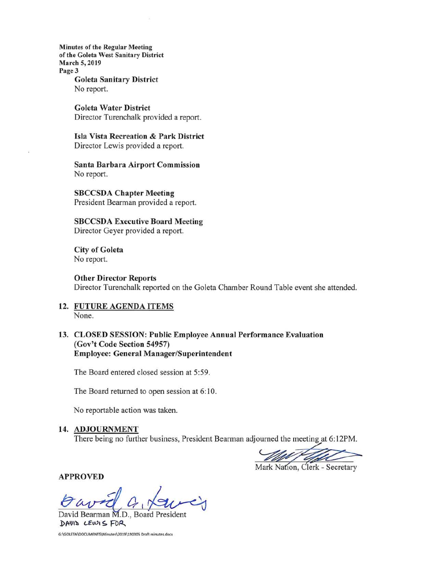**Minutes of the Regular Meeting of the Goleta West Sanitary District March 5, 2019 Page3 Goleta Sanitary District**  No report.

> **Goleta Water District**  Director Turenchalk provided a report.

**Isla Vista Recreation** & **Park District**  Director Lewis provided a report.

**Santa Barbara Airport Commission**  No report.

**SBCCSDA Chapter Meeting**  President Bearman provided a report.

**SBCCSDA Executive Board Meeting**  Director Geyer provided a report.

**City of Goleta**  No report.

**Other Director Reports**  Director Turenchalk reported on the Goleta Chamber Round Table event she attended.

**12. FUTURE AGENDA ITEMS**  None.

**13. CLOSED SESSION: Public Employee Annual Performance Evaluation (Gov't Code Section 54957) Employee: General Manager/Superintendent** 

The Board entered closed session at 5:59.

The Board returned to open session at 6:10.

No reportable action was taken.

### 14. **ADJOURNMENT**

There being no further business, President Bearman adjourned the meeting at 6:12PM.

Mark Nation, Clerk - Secretary

**APPROVED** 

David Bearman M.D., Board President  $\Delta$ MIS  $CEW1 \leq F0R$ <br>G:\GOLETA\DOCUMENTS\Minutes\2019\190305 Draft minutes.docx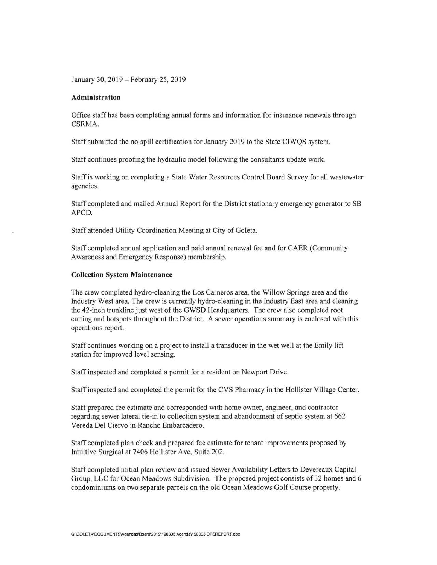January 30, 2019-February 25, 2019

#### **Administration**

Office staff has been completing annual forms and information for insurance renewals through CSRMA.

Staff submitted the no-spill certification for January 2019 to the State CIWQS system.

Staff continues proofing the hydraulic model following the consultants update work.

Staff is working on completing a State Water Resources Control Board Survey for all wastewater agencies.

Staff completed and mailed Annual Report for the District stationary emergency generator to SB APCD.

Staff attended Utility Coordination Meeting at City of Goleta.

Staff completed annual application and paid annual renewal fee and for CAER (Community Awareness and Emergency Response) membership.

#### **Collection System Maintenance**

The crew completed hydro-cleaning the Los Carneros area, the Willow Springs area and the Industry West area. The crew is currently hydro-cleaning in the Industry East area and cleaning the 42-inch trunklinejust west of the GWSD Headquarters. The crew also completed root cutting and hotspots throughout the District. A sewer operations summary is enclosed with this operations report.

Staff continues working on a project to install a transducer in the wet well at the Emily lift station for improved level sensing.

Staff inspected and completed a permit for a resident on Newport Drive .

Staff inspected and completed the permit for the CVS Pharmacy in the Hollister Village Center.

Staff prepared fee estimate and corresponded with home owner, engineer, and contractor regarding sewer lateral tie-in to collection system and abandonment of septic system at 662 Vereda Del Ciervo in Rancho Embarcadero.

Staff completed plan check and prepared fee estimate for tenant improvements proposed by Intuitive Surgical at 7406 Hollister Ave, Suite 202.

Staff completed initial plan review and issued Sewer Availability Letters to Devereaux Capital Group, LLC for Ocean Meadows Subdivision. The proposed project consists of 32 homes and 6 condominiums on two separate parcels on the old Ocean Meadows Golf Course property.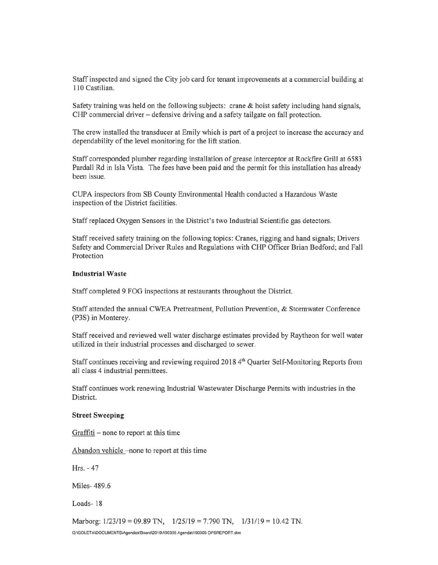Staff inspected and signed the City job card for tenant improvements at a commercial building at 1 10 Castilian.

Safety training was held on the following subjects: crane & hoist safety including hand signals, CHP commercial driver – defensive driving and a safety tailgate on fall protection.

The crew installed the transducer at Emily which is part of a project to increase the accuracy and dependability of the level monitoring for the lift station.

Staff corresponded plumber regarding installation of grease interceptor at Rockfire Grill at 6583 Pardall Rd in Isla Vista. The fees have been paid and the permit for this installation has already been issue.

CUPA inspectors from SB County Environmental Health conducted a Hazardous Waste inspection of the District facilities.

Staff replaced Oxygen Sensors in the District's two Industrial Scientific gas detectors .

Staff received safety training on the following topics: Cranes, rigging and hand signals; Drivers Safety and Commercial Driver Rules and Regulations with CHP Officer Brian Bedford; and Fall Protection

#### **Industrial Waste**

Staff completed 9 FOG inspections at restaurants throughout the District.

Staff attended the annual CWEA Pretreatment, Pollution Prevention, & Stormwater Conference (P3S) in Monterey .

Staff received and reviewed well water discharge estimates provided by Raytheon for well water utilized in their industrial processes and discharged to sewer.

Staff continues receiving and reviewing required 2018 4th Quarter Self-Monitoring Reports from all class 4 industrial permittees.

Staff continues work renewing Industrial Wastewater Discharge Permits with industries in the District.

#### **Street Sweeping**

 $Graffiti$  – none to report at this time

Abandon vehicle -none to report at this time

Hrs.-47

Miles- 489 .6

Loads- 18

Marborg: 1/23/19 = 09.89 TN, 1/25/19 = 7.790 TN, 1/31/19 = 10.42 TN. G:\GOLETA\DOCUMENTS\Agendas\Board\2019\190305 Agenda\190305 OPSREPORT.doc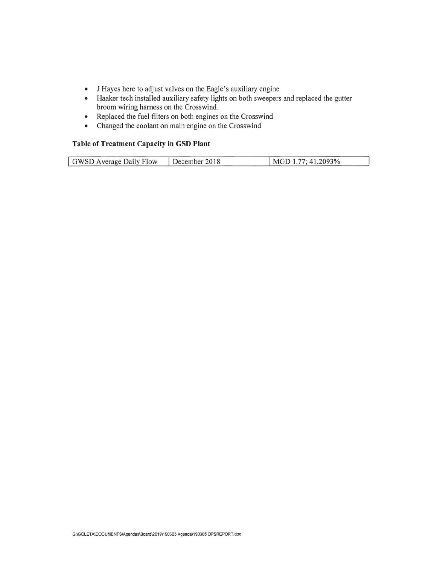- J Hayes here to adjust valves on the Eagle's auxiliary engine
- Haaker tech installed auxiliary safety lights on both sweepers and replaced the gutter broom wiring harness on the Crosswind .
- Replaced the fuel filters on both engines on the Crosswind
- Changed the coolant on main engine on the Crosswind

## **Table of Treatment Capacity in GSD Plant**

|  | GWSD Average Daily Flow | December 2018 | MGD 1.77; 41.2093% |  |
|--|-------------------------|---------------|--------------------|--|
|--|-------------------------|---------------|--------------------|--|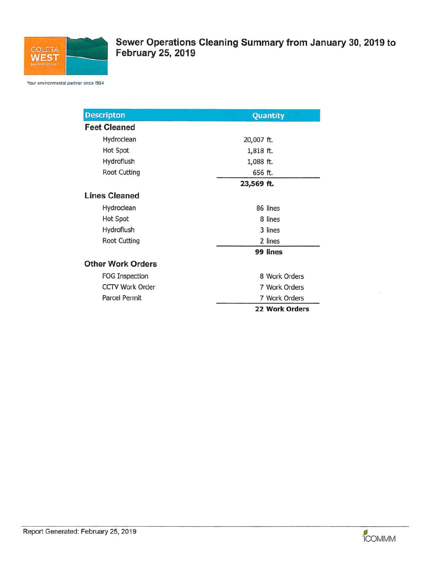

**Sewer Operations Cleaning Summary from January 30, 2019 to February 25, 2019** 

Your environmental partner since 1954

| <b>Descripton</b>        | Quantity              |  |
|--------------------------|-----------------------|--|
| <b>Feet Cleaned</b>      |                       |  |
| Hydroclean               | 20,007 ft.            |  |
| <b>Hot Spot</b>          | 1,818 ft.             |  |
| Hydroflush               | 1,088 ft.             |  |
| <b>Root Cutting</b>      | 656 ft.               |  |
|                          | 23,569 ft.            |  |
| <b>Lines Cleaned</b>     |                       |  |
| Hydroclean               | 86 lines              |  |
| Hot Spot                 | 8 lines               |  |
| Hydroflush               | 3 lines               |  |
| <b>Root Cutting</b>      | 2 lines               |  |
|                          | 99 lines              |  |
| <b>Other Work Orders</b> |                       |  |
| <b>FOG Inspection</b>    | 8 Work Orders         |  |
| <b>CCTV Work Order</b>   | 7 Work Orders         |  |
| <b>Parcel Permit</b>     | 7 Work Orders         |  |
|                          | <b>22 Work Orders</b> |  |